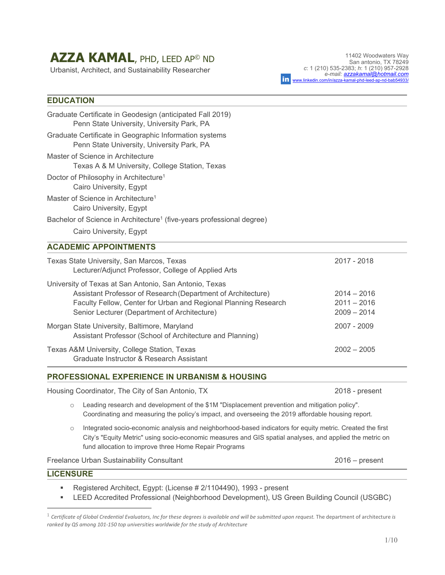# **AZZA KAMAL**, PHD, LEED AP© ND

Urbanist, Architect, and Sustainability Researcher

11402 Woodwaters Way San antonio, TX 78249 *c*: 1 (210) 535-2383; *h*: 1 (210) 957-2928  *e-mail: azzakamal@hotmail.com* in www.linkedin.com/in/azza-kamal-phd-leed-ap-nd-bab54933/

# **EDUCATION**

| Graduate Certificate in Geodesign (anticipated Fall 2019)<br>Penn State University, University Park, PA                                                                                                                                   |                                                 |
|-------------------------------------------------------------------------------------------------------------------------------------------------------------------------------------------------------------------------------------------|-------------------------------------------------|
| Graduate Certificate in Geographic Information systems<br>Penn State University, University Park, PA                                                                                                                                      |                                                 |
| Master of Science in Architecture<br>Texas A & M University, College Station, Texas                                                                                                                                                       |                                                 |
| Doctor of Philosophy in Architecture <sup>1</sup><br>Cairo University, Egypt                                                                                                                                                              |                                                 |
| Master of Science in Architecture <sup>1</sup><br>Cairo University, Egypt                                                                                                                                                                 |                                                 |
| Bachelor of Science in Architecture <sup>1</sup> (five-years professional degree)                                                                                                                                                         |                                                 |
| Cairo University, Egypt                                                                                                                                                                                                                   |                                                 |
| <b>ACADEMIC APPOINTMENTS</b>                                                                                                                                                                                                              |                                                 |
| Texas State University, San Marcos, Texas<br>Lecturer/Adjunct Professor, College of Applied Arts                                                                                                                                          | 2017 - 2018                                     |
| University of Texas at San Antonio, San Antonio, Texas<br>Assistant Professor of Research (Department of Architecture)<br>Faculty Fellow, Center for Urban and Regional Planning Research<br>Senior Lecturer (Department of Architecture) | $2014 - 2016$<br>$2011 - 2016$<br>$2009 - 2014$ |
| Morgan State University, Baltimore, Maryland<br>Assistant Professor (School of Architecture and Planning)                                                                                                                                 | 2007 - 2009                                     |
| Texas A&M University, College Station, Texas<br>Graduate Instructor & Research Assistant                                                                                                                                                  | $2002 - 2005$                                   |
|                                                                                                                                                                                                                                           |                                                 |

## **PROFESSIONAL EXPERIENCE IN URBANISM & HOUSING**

Housing Coordinator, The City of San Antonio, TX 2018 - present

- o Leading research and development of the \$1M "Displacement prevention and mitigation policy". Coordinating and measuring the policy's impact, and overseeing the 2019 affordable housing report.
- o Integrated socio-economic analysis and neighborhood-based indicators for equity metric. Created the first City's "Equity Metric" using socio-economic measures and GIS spatial analyses, and applied the metric on fund allocation to improve three Home Repair Programs

Freelance Urban Sustainability Consultant 2016 – present

#### **LICENSURE**

■ Registered Architect, Egypt: (License # 2/1104490), 1993 - present

LEED Accredited Professional (Neighborhood Development), US Green Building Council (USGBC)

<sup>1</sup> *Certificate of Global Credential Evaluators, Inc for these degrees is available and will be submitted upon request.* The department of architecture *is ranked by QS among 101‐150 top universities worldwide for the study of Architecture*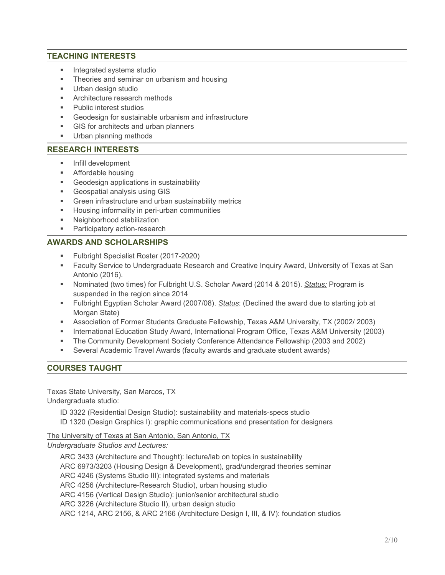# **TEACHING INTERESTS**

- **Integrated systems studio**
- Theories and seminar on urbanism and housing
- **Urban design studio**
- **Architecture research methods**
- Public interest studios
- Geodesign for sustainable urbanism and infrastructure
- GIS for architects and urban planners
- **Urban planning methods**

## **RESEARCH INTERESTS**

- **Infill development**
- Affordable housing
- Geodesign applications in sustainability
- **Geospatial analysis using GIS**
- Green infrastructure and urban sustainability metrics
- **Housing informality in peri-urban communities**
- Neighborhood stabilization
- **Participatory action-research**

## **AWARDS AND SCHOLARSHIPS**

- **Fulbright Specialist Roster (2017-2020)**
- Faculty Service to Undergraduate Research and Creative Inquiry Award, University of Texas at San Antonio (2016).
- Nominated (two times) for Fulbright U.S. Scholar Award (2014 & 2015). *Status:* Program is suspended in the region since 2014
- Fulbright Egyptian Scholar Award (2007/08). *Status*: (Declined the award due to starting job at Morgan State)
- Association of Former Students Graduate Fellowship, Texas A&M University, TX (2002/ 2003)
- **International Education Study Award, International Program Office, Texas A&M University (2003)**
- The Community Development Society Conference Attendance Fellowship (2003 and 2002)
- Several Academic Travel Awards (faculty awards and graduate student awards)

## **COURSES TAUGHT**

#### **Texas State University, San Marcos, TX**

Undergraduate studio:

ID 3322 (Residential Design Studio): sustainability and materials-specs studio

ID 1320 (Design Graphics I): graphic communications and presentation for designers

The University of Texas at San Antonio, San Antonio, TX

*Undergraduate Studios and Lectures:* 

ARC 3433 (Architecture and Thought): lecture/lab on topics in sustainability

ARC 6973/3203 (Housing Design & Development), grad/undergrad theories seminar

ARC 4246 (Systems Studio III): integrated systems and materials

ARC 4256 (Architecture-Research Studio), urban housing studio

ARC 4156 (Vertical Design Studio): junior/senior architectural studio

ARC 3226 (Architecture Studio II), urban design studio

ARC 1214, ARC 2156, & ARC 2166 (Architecture Design I, III, & IV): foundation studios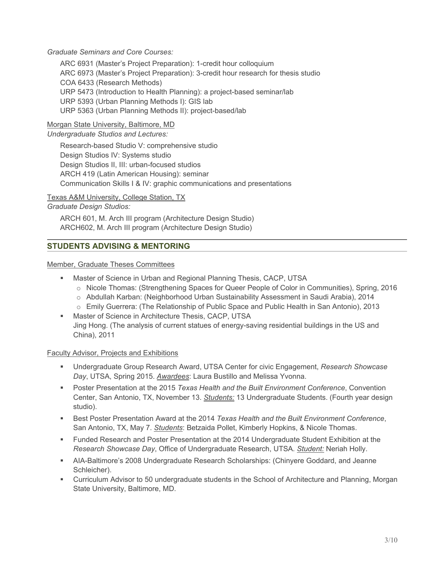## *Graduate Seminars and Core Courses:*

ARC 6931 (Master's Project Preparation): 1-credit hour colloquium ARC 6973 (Master's Project Preparation): 3-credit hour research for thesis studio COA 6433 (Research Methods) URP 5473 (Introduction to Health Planning): a project-based seminar/lab URP 5393 (Urban Planning Methods I): GIS lab URP 5363 (Urban Planning Methods II): project-based/lab

## Morgan State University, Baltimore, MD

*Undergraduate Studios and Lectures:* 

Research-based Studio V: comprehensive studio Design Studios IV: Systems studio Design Studios II, III: urban-focused studios ARCH 419 (Latin American Housing): seminar Communication Skills I & IV: graphic communications and presentations

Texas A&M University, College Station, TX

## *Graduate Design Studios:*

ARCH 601, M. Arch III program (Architecture Design Studio) ARCH602, M. Arch III program (Architecture Design Studio)

## **STUDENTS ADVISING & MENTORING**

Member, Graduate Theses Committees

- **Master of Science in Urban and Regional Planning Thesis, CACP, UTSA** 
	- o Nicole Thomas: (Strengthening Spaces for Queer People of Color in Communities), Spring, 2016
	- o Abdullah Karban: (Neighborhood Urban Sustainability Assessment in Saudi Arabia), 2014
- o Emily Guerrera: (The Relationship of Public Space and Public Health in San Antonio), 2013 **Master of Science in Architecture Thesis, CACP, UTSA**
- Jing Hong. (The analysis of current statues of energy-saving residential buildings in the US and China), 2011

## Faculty Advisor, Projects and Exhibitions

- Undergraduate Group Research Award, UTSA Center for civic Engagement, *Research Showcase Day*, UTSA, Spring 2015. *Awardees*: Laura Bustillo and Melissa Yvonna.
- Poster Presentation at the 2015 *Texas Health and the Built Environment Conference*, Convention Center, San Antonio, TX, November 13. *Students:* 13 Undergraduate Students. (Fourth year design studio).
- Best Poster Presentation Award at the 2014 *Texas Health and the Built Environment Conference*, San Antonio, TX, May 7. *Students*: Betzaida Pollet, Kimberly Hopkins, & Nicole Thomas.
- Funded Research and Poster Presentation at the 2014 Undergraduate Student Exhibition at the *Research Showcase Day*, Office of Undergraduate Research, UTSA. *Student:* Neriah Holly.
- AIA-Baltimore's 2008 Undergraduate Research Scholarships: (Chinyere Goddard, and Jeanne Schleicher).
- Curriculum Advisor to 50 undergraduate students in the School of Architecture and Planning, Morgan State University, Baltimore, MD.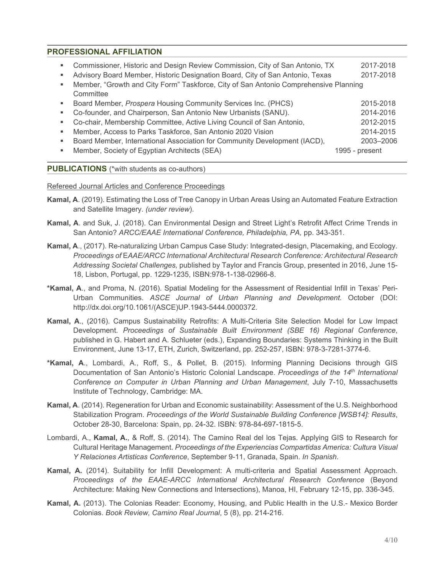## **PROFESSIONAL AFFILIATION**

| ٠ | Commissioner, Historic and Design Review Commission, City of San Antonio, TX<br>Advisory Board Member, Historic Designation Board, City of San Antonio, Texas<br>Member, "Growth and City Form" Taskforce, City of San Antonio Comprehensive Planning<br>Committee                                                                                                                                  | 2017-2018<br>2017-2018                                                          |
|---|-----------------------------------------------------------------------------------------------------------------------------------------------------------------------------------------------------------------------------------------------------------------------------------------------------------------------------------------------------------------------------------------------------|---------------------------------------------------------------------------------|
| ٠ | Board Member, Prospera Housing Community Services Inc. (PHCS)<br>Co-founder, and Chairperson, San Antonio New Urbanists (SANU).<br>Co-chair, Membership Committee, Active Living Council of San Antonio,<br>Member, Access to Parks Taskforce, San Antonio 2020 Vision<br>Board Member, International Association for Community Development (IACD),<br>Member, Society of Egyptian Architects (SEA) | 2015-2018<br>2014-2016<br>2012-2015<br>2014-2015<br>2003-2006<br>1995 - present |

**PUBLICATIONS** (\*with students as co-authors)

Refereed Journal Articles and Conference Proceedings

- **Kamal, A**. (2019). Estimating the Loss of Tree Canopy in Urban Areas Using an Automated Feature Extraction and Satellite Imagery. *(under review*).
- **Kamal, A**. and Suk, J. (2018). Can Environmental Design and Street Light's Retrofit Affect Crime Trends in San Antonio? *ARCC/EAAE International Conference, Philadelphia, PA,* pp. 343-351.
- **Kamal, A**., (2017). Re-naturalizing Urban Campus Case Study: Integrated-design, Placemaking, and Ecology. *Proceedings of* E*AAE/ARCC International Architectural Research Conference: Architectural Research Addressing Societal Challenges,* published by Taylor and Francis Group, presented in 2016, June 15- 18, Lisbon, Portugal, pp. 1229-1235, ISBN:978-1-138-02966-8.
- **\*Kamal, A**., and Proma, N. (2016). Spatial Modeling for the Assessment of Residential Infill in Texas' Peri-Urban Communities. *ASCE Journal of Urban Planning and Development.* October (DOI: http://dx.doi.org/10.1061/(ASCE)UP.1943-5444.0000372.
- **Kamal, A**., (2016). Campus Sustainability Retrofits: A Multi-Criteria Site Selection Model for Low Impact Development. *Proceedings of Sustainable Built Environment (SBE 16) Regional Conference*, published in G. Habert and A. Schlueter (eds.), Expanding Boundaries: Systems Thinking in the Built Environment, June 13-17, ETH, Zurich, Switzerland, pp. 252-257, ISBN: 978-3-7281-3774-6.
- **\*Kamal, A**., Lombardi, A., Roff, S., & Pollet, B. (2015). Informing Planning Decisions through GIS Documentation of San Antonio's Historic Colonial Landscape. *Proceedings of the 14th International Conference on Computer in Urban Planning and Urban Management*, July 7-10, Massachusetts Institute of Technology, Cambridge: MA.
- **Kamal, A**. (2014). Regeneration for Urban and Economic sustainability: Assessment of the U.S. Neighborhood Stabilization Program. *Proceedings of the World Sustainable Building Conference [WSB14]: Results*, October 28-30, Barcelona: Spain, pp. 24-32. ISBN: 978-84-697-1815-5.
- Lombardi, A., **Kamal, A.**, & Roff, S. (2014). The Camino Real del los Tejas. Applying GIS to Research for Cultural Heritage Management. *Proceedings of the Experiencias Compartidas America: Cultura Visual Y Relaciones Artisticas Conference*, September 9-11, Granada, Spain. *In Spanish*.
- **Kamal, A.** (2014). Suitability for Infill Development: A multi-criteria and Spatial Assessment Approach. *Proceedings of the EAAE-ARCC International Architectural Research Conference* (Beyond Architecture: Making New Connections and Intersections), Manoa, HI, February 12-15, pp. 336-345.
- **Kamal, A.** (2013). The Colonias Reader: Economy, Housing, and Public Health in the U.S.- Mexico Border Colonias. *Book Review, Camino Real Journal*, 5 (8), pp. 214-216.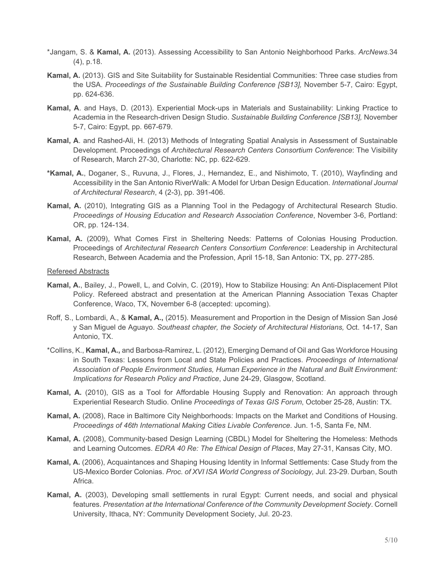- \*Jangam, S. & **Kamal, A.** (2013). Assessing Accessibility to San Antonio Neighborhood Parks. *ArcNews*.34 (4), p.18.
- **Kamal, A.** (2013). GIS and Site Suitability for Sustainable Residential Communities: Three case studies from the USA. *Proceedings of the Sustainable Building Conference [SB13],* November 5-7, Cairo: Egypt, pp. 624-636.
- **Kamal, A**. and Hays, D. (2013). Experiential Mock-ups in Materials and Sustainability: Linking Practice to Academia in the Research-driven Design Studio. *Sustainable Building Conference [SB13],* November 5-7, Cairo: Egypt, pp. 667-679.
- **Kamal, A**. and Rashed-Ali, H. (2013) Methods of Integrating Spatial Analysis in Assessment of Sustainable Development. Proceedings of *Architectural Research Centers Consortium Conference*: The Visibility of Research, March 27-30, Charlotte: NC, pp. 622-629.
- **\*Kamal, A.**, Doganer, S., Ruvuna, J., Flores, J., Hernandez, E., and Nishimoto, T. (2010), Wayfinding and Accessibility in the San Antonio RiverWalk: A Model for Urban Design Education. *International Journal of Architectural Research*, 4 (2-3), pp. 391-406.
- **Kamal, A.** (2010), Integrating GIS as a Planning Tool in the Pedagogy of Architectural Research Studio. *Proceedings of Housing Education and Research Association Conference*, November 3-6, Portland: OR, pp. 124-134.
- **Kamal, A.** (2009), What Comes First in Sheltering Needs: Patterns of Colonias Housing Production. Proceedings of *Architectural Research Centers Consortium Conference*: Leadership in Architectural Research, Between Academia and the Profession, April 15-18, San Antonio: TX, pp. 277-285.

#### Refereed Abstracts

- **Kamal, A.**, Bailey, J., Powell, L, and Colvin, C. (2019), How to Stabilize Housing: An Anti-Displacement Pilot Policy. Refereed abstract and presentation at the American Planning Association Texas Chapter Conference, Waco, TX, November 6-8 (accepted: upcoming).
- Roff, S., Lombardi, A., & **Kamal, A.,** (2015). Measurement and Proportion in the Design of Mission San José y San Miguel de Aguayo. *Southeast chapter, the Society of Architectural Historians,* Oct. 14-17, San Antonio, TX.
- \*Collins, K., **Kamal, A.,** and Barbosa-Ramirez, L. (2012), Emerging Demand of Oil and Gas Workforce Housing in South Texas: Lessons from Local and State Policies and Practices. *Proceedings of International Association of People Environment Studies, Human Experience in the Natural and Built Environment: Implications for Research Policy and Practice*, June 24-29, Glasgow, Scotland.
- **Kamal, A.** (2010), GIS as a Tool for Affordable Housing Supply and Renovation: An approach through Experiential Research Studio. Online *Proceedings of Texas GIS Forum*, October 25-28, Austin: TX.
- **Kamal, A.** (2008), Race in Baltimore City Neighborhoods: Impacts on the Market and Conditions of Housing. *Proceedings of 46th International Making Cities Livable Conference*. Jun. 1-5, Santa Fe, NM.
- **Kamal, A.** (2008), Community-based Design Learning (CBDL) Model for Sheltering the Homeless: Methods and Learning Outcomes. *EDRA 40 Re: The Ethical Design of Places*, May 27-31, Kansas City, MO.
- **Kamal, A.** (2006), Acquaintances and Shaping Housing Identity in Informal Settlements: Case Study from the US-Mexico Border Colonias. *Proc. of XVI ISA World Congress of Sociology,* Jul. 23-29. Durban, South Africa.
- **Kamal, A.** (2003), Developing small settlements in rural Egypt: Current needs, and social and physical features. *Presentation at the International Conference of the Community Development Society*. Cornell University, Ithaca, NY: Community Development Society, Jul. 20-23.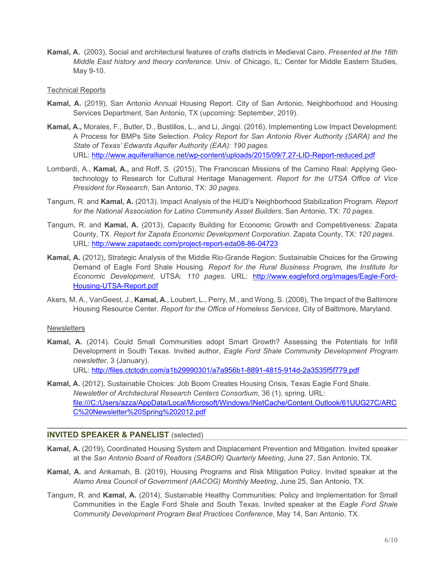**Kamal, A.** (2003), Social and architectural features of crafts districts in Medieval Cairo. *Presented at the 18th Middle East history and theory conference*. Univ. of Chicago, IL: Center for Middle Eastern Studies, May 9-10.

#### Technical Reports

- **Kamal, A.** (2019), San Antonio Annual Housing Report. City of San Antonio, Neighborhood and Housing Services Department, San Antonio, TX (upcoming: September, 2019).
- **Kamal, A.,** Morales, F., Butler, D., Bustillos, L., and Li, Jingqi. (2016), Implementing Low Impact Development: A Process for BMPs Site Selection. *Policy Report for San Antonio River Authority (SARA) and the State of Texas' Edwards Aquifer Authority (EAA): 190 pages.*  URL: http://www.aquiferalliance.net/wp-content/uploads/2015/09/7.27-LID-Report-reduced.pdf
- Lombardi, A., **Kamal, A.,** and Roff, S. (2015), The Franciscan Missions of the Camino Real: Applying Geotechnology to Research for Cultural Heritage Management. *Report for the UTSA Office of Vice President for Research*, San Antonio, TX: *30 pages*.
- Tangum, R. and **Kamal, A.** (2013), Impact Analysis of the HUD's Neighborhood Stabilization Program. *Report for the National Association for Latino Community Asset Builders*. San Antonio, TX: *70 pages*.
- Tangum, R. and **Kamal, A.** (2013), Capacity Building for Economic Growth and Competitiveness: Zapata County, TX. *Report for Zapata Economic Development Corporation*. Zapata County, TX: *120 pages*. URL: http://www.zapataedc.com/project-report-eda08-86-04723
- **Kamal, A.** (2012), Strategic Analysis of the Middle Rio-Grande Region: Sustainable Choices for the Growing Demand of Eagle Ford Shale Housing. *Report for the Rural Business Program, the Institute for Economic Development*, UTSA: *110 pages*. URL: http://www.eagleford.org/images/Eagle-Ford-Housing-UTSA-Report.pdf
- Akers, M. A., VanGeest, J., **Kamal, A.**, Loubert, L., Perry, M., and Wong, S. (2008), The Impact of the Baltimore Housing Resource Center. *Report for the Office of Homeless Services*, City of Baltimore, Maryland.

#### **Newsletters**

- **Kamal, A.** (2014). Could Small Communities adopt Smart Growth? Assessing the Potentials for Infill Development in South Texas. Invited author, *Eagle Ford Shale Community Development Program newsletter*, 3 (January). URL: http://files.ctctcdn.com/a1b29990301/a7a956b1-8891-4815-914d-2a3535f5f779.pdf
- **Kamal, A.** (2012), Sustainable Choices: Job Boom Creates Housing Crisis, Texas Eagle Ford Shale. *Newsletter of Architectural Research Centers Consortium*, 36 (1), spring. URL: file:///C:/Users/azza/AppData/Local/Microsoft/Windows/INetCache/Content.Outlook/61UUG27C/ARC C%20Newsletter%20Spring%202012.pdf

## $\overline{a}$ **INVITED SPEAKER & PANELIST** (selected)

- **Kamal, A.** (2019), Coordinated Housing System and Displacement Prevention and Mitigation. Invited speaker at the *San Antonio Board of Realtors (SABOR) Quarterly Meeting*, June 27, San Antonio, TX.
- **Kamal, A.** and Ankamah, B. (2019), Housing Programs and Risk Mitigation Policy. Invited speaker at the *Alamo Area Council of Government (AACOG) Monthly Meeting*, June 25, San Antonio, TX.
- Tangum, R. and **Kamal, A.** (2014), Sustainable Healthy Communities: Policy and Implementation for Small Communities in the Eagle Ford Shale and South Texas. Invited speaker at the *Eagle Ford Shale Community Development Program Best Practices Conference*, May 14, San Antonio, TX.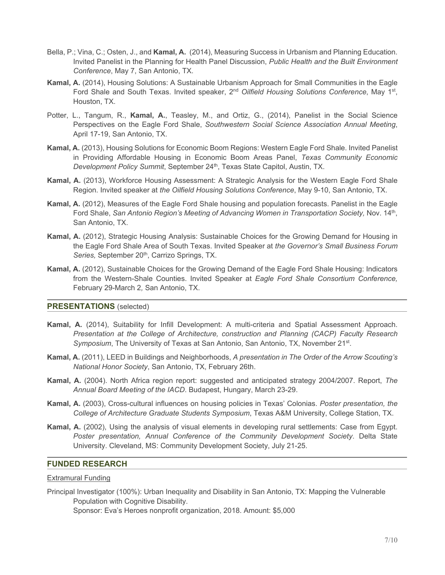- Bella, P.; Vina, C.; Osten, J., and **Kamal, A.** (2014), Measuring Success in Urbanism and Planning Education. Invited Panelist in the Planning for Health Panel Discussion, *Public Health and the Built Environment Conference*, May 7, San Antonio, TX.
- **Kamal, A.** (2014), Housing Solutions: A Sustainable Urbanism Approach for Small Communities in the Eagle Ford Shale and South Texas. Invited speaker, 2<sup>nd</sup> Oilfield Housing Solutions Conference, May 1<sup>st</sup>, Houston, TX.
- Potter, L., Tangum, R., **Kamal, A.**, Teasley, M., and Ortiz, G., (2014), Panelist in the Social Science Perspectives on the Eagle Ford Shale, *Southwestern Social Science Association Annual Meeting*, April 17-19, San Antonio, TX.
- **Kamal, A.** (2013), Housing Solutions for Economic Boom Regions: Western Eagle Ford Shale. Invited Panelist in Providing Affordable Housing in Economic Boom Areas Panel, *Texas Community Economic Development Policy Summit*, September 24<sup>th</sup>, Texas State Capitol, Austin, TX.
- **Kamal, A.** (2013), Workforce Housing Assessment: A Strategic Analysis for the Western Eagle Ford Shale Region. Invited speaker at *the Oilfield Housing Solutions Conference*, May 9-10, San Antonio, TX.
- **Kamal, A.** (2012), Measures of the Eagle Ford Shale housing and population forecasts. Panelist in the Eagle Ford Shale, *San Antonio Region's Meeting of Advancing Women in Transportation Society*, Nov. 14<sup>th</sup>, San Antonio, TX.
- **Kamal, A.** (2012), Strategic Housing Analysis: Sustainable Choices for the Growing Demand for Housing in the Eagle Ford Shale Area of South Texas. Invited Speaker at *the Governor's Small Business Forum*  Series, September 20<sup>th</sup>, Carrizo Springs, TX.
- **Kamal, A.** (2012), Sustainable Choices for the Growing Demand of the Eagle Ford Shale Housing: Indicators from the Western-Shale Counties. Invited Speaker at *Eagle Ford Shale Consortium Conference,*  February 29-March 2*,* San Antonio, TX.

#### **PRESENTATIONS** (selected)

- **Kamal, A.** (2014), Suitability for Infill Development: A multi-criteria and Spatial Assessment Approach. *Presentation at the College of Architecture, construction and Planning (CACP) Faculty Research Symposium*, The University of Texas at San Antonio, San Antonio, TX, November 21<sup>st</sup>.
- **Kamal, A.** (2011), LEED in Buildings and Neighborhoods, *A presentation in The Order of the Arrow Scouting's National Honor Society*, San Antonio, TX, February 26th.
- **Kamal, A.** (2004). North Africa region report: suggested and anticipated strategy 2004/2007. Report, *The Annual Board Meeting of the IACD*. Budapest, Hungary, March 23-29.
- **Kamal, A.** (2003), Cross-cultural influences on housing policies in Texas' Colonias. *Poster presentation, the College of Architecture Graduate Students Symposium*, Texas A&M University, College Station, TX.
- **Kamal, A.** (2002), Using the analysis of visual elements in developing rural settlements: Case from Egypt. *Poster presentation, Annual Conference of the Community Development Society*. Delta State University. Cleveland, MS: Community Development Society, July 21-25.

## **FUNDED RESEARCH**

#### Extramural Funding

Principal Investigator (100%): Urban Inequality and Disability in San Antonio, TX: Mapping the Vulnerable Population with Cognitive Disability.

Sponsor: Eva's Heroes nonprofit organization, 2018. Amount: \$5,000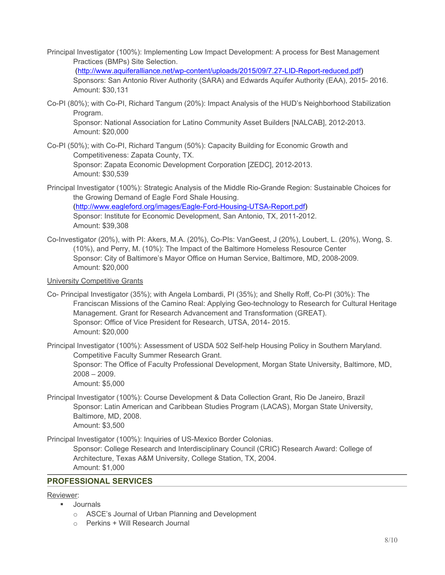Principal Investigator (100%): Implementing Low Impact Development: A process for Best Management Practices (BMPs) Site Selection.

 (http://www.aquiferalliance.net/wp-content/uploads/2015/09/7.27-LID-Report-reduced.pdf) Sponsors: San Antonio River Authority (SARA) and Edwards Aquifer Authority (EAA), 2015- 2016. Amount: \$30,131

Co-PI (80%); with Co-PI, Richard Tangum (20%): Impact Analysis of the HUD's Neighborhood Stabilization Program.

Sponsor: National Association for Latino Community Asset Builders [NALCAB], 2012-2013. Amount: \$20,000

- Co-PI (50%); with Co-PI, Richard Tangum (50%): Capacity Building for Economic Growth and Competitiveness: Zapata County, TX. Sponsor: Zapata Economic Development Corporation [ZEDC], 2012-2013. Amount: \$30,539
- Principal Investigator (100%): Strategic Analysis of the Middle Rio-Grande Region: Sustainable Choices for the Growing Demand of Eagle Ford Shale Housing. (http://www.eagleford.org/images/Eagle-Ford-Housing-UTSA-Report.pdf) Sponsor: Institute for Economic Development, San Antonio, TX, 2011-2012. Amount: \$39,308
- Co-Investigator (20%), with PI: Akers, M.A. (20%), Co-PIs: VanGeest, J (20%), Loubert, L. (20%), Wong, S. (10%), and Perry, M. (10%): The Impact of the Baltimore Homeless Resource Center Sponsor: City of Baltimore's Mayor Office on Human Service, Baltimore, MD, 2008-2009. Amount: \$20,000

## University Competitive Grants

- Co- Principal Investigator (35%); with Angela Lombardi, PI (35%); and Shelly Roff, Co-PI (30%): The Franciscan Missions of the Camino Real: Applying Geo-technology to Research for Cultural Heritage Management. Grant for Research Advancement and Transformation (GREAT). Sponsor: Office of Vice President for Research, UTSA, 2014- 2015. Amount: \$20,000
- Principal Investigator (100%): Assessment of USDA 502 Self-help Housing Policy in Southern Maryland. Competitive Faculty Summer Research Grant. Sponsor: The Office of Faculty Professional Development, Morgan State University, Baltimore, MD, 2008 – 2009. Amount: \$5,000

Principal Investigator (100%): Course Development & Data Collection Grant, Rio De Janeiro, Brazil Sponsor: Latin American and Caribbean Studies Program (LACAS), Morgan State University, Baltimore, MD, 2008. Amount: \$3,500

Principal Investigator (100%): Inquiries of US-Mexico Border Colonias.

Sponsor: College Research and Interdisciplinary Council (CRIC) Research Award: College of Architecture, Texas A&M University, College Station, TX, 2004. Amount: \$1,000

## **PROFESSIONAL SERVICES**

#### Reviewer:

- **Journals** 
	- o ASCE's Journal of Urban Planning and Development
	- o Perkins + Will Research Journal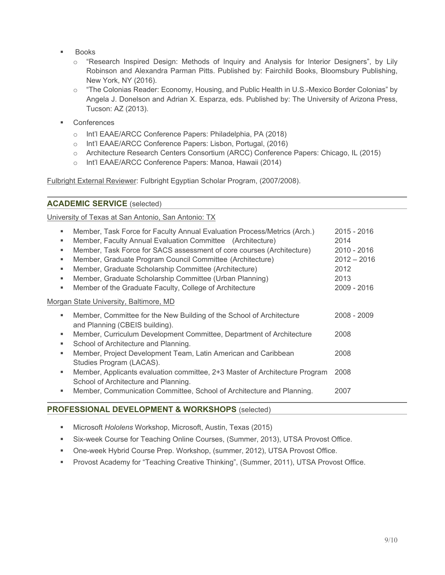- Books
	- o "Research Inspired Design: Methods of Inquiry and Analysis for Interior Designers", by Lily Robinson and Alexandra Parman Pitts. Published by: Fairchild Books, Bloomsbury Publishing, New York, NY (2016).
	- o "The Colonias Reader: Economy, Housing, and Public Health in U.S.-Mexico Border Colonias" by Angela J. Donelson and Adrian X. Esparza, eds. Published by: The University of Arizona Press, Tucson: AZ (2013).
- **Conferences** 
	- o Int'l EAAE/ARCC Conference Papers: Philadelphia, PA (2018)
	- o Int'l EAAE/ARCC Conference Papers: Lisbon, Portugal, (2016)
	- o Architecture Research Centers Consortium (ARCC) Conference Papers: Chicago, IL (2015)
	- o Int'l EAAE/ARCC Conference Papers: Manoa, Hawaii (2014)

Fulbright External Reviewer: Fulbright Egyptian Scholar Program, (2007/2008).

| <b>ACADEMIC SERVICE (selected)</b> |  |  |  |  |
|------------------------------------|--|--|--|--|
|------------------------------------|--|--|--|--|

University of Texas at San Antonio, San Antonio: TX

| ٠<br>٠<br>٠<br>٠<br>٠<br>٠<br>٠ | Member, Task Force for Faculty Annual Evaluation Process/Metrics (Arch.)<br>Member, Faculty Annual Evaluation Committee (Architecture)<br>Member, Task Force for SACS assessment of core courses (Architecture)<br>Member, Graduate Program Council Committee (Architecture)<br>Member, Graduate Scholarship Committee (Architecture)<br>Member, Graduate Scholarship Committee (Urban Planning)<br>Member of the Graduate Faculty, College of Architecture | 2015 - 2016<br>2014<br>2010 - 2016<br>$2012 - 2016$<br>2012<br>2013<br>2009 - 2016 |
|---------------------------------|-------------------------------------------------------------------------------------------------------------------------------------------------------------------------------------------------------------------------------------------------------------------------------------------------------------------------------------------------------------------------------------------------------------------------------------------------------------|------------------------------------------------------------------------------------|
|                                 | Morgan State University, Baltimore, MD                                                                                                                                                                                                                                                                                                                                                                                                                      |                                                                                    |
|                                 | Member, Committee for the New Building of the School of Architecture<br>and Planning (CBEIS building).                                                                                                                                                                                                                                                                                                                                                      | 2008 - 2009                                                                        |
| ٠<br>٠                          | Member, Curriculum Development Committee, Department of Architecture<br>School of Architecture and Planning.                                                                                                                                                                                                                                                                                                                                                | 2008                                                                               |
| ٠                               | Member, Project Development Team, Latin American and Caribbean<br>Studies Program (LACAS).                                                                                                                                                                                                                                                                                                                                                                  | 2008                                                                               |
| ٠                               | Member, Applicants evaluation committee, 2+3 Master of Architecture Program<br>School of Architecture and Planning.                                                                                                                                                                                                                                                                                                                                         | 2008                                                                               |
| ٠                               | Member, Communication Committee, School of Architecture and Planning.                                                                                                                                                                                                                                                                                                                                                                                       | 2007                                                                               |

## **PROFESSIONAL DEVELOPMENT & WORKSHOPS** (selected)

- Microsoft *Hololens* Workshop, Microsoft, Austin, Texas (2015)
- Six-week Course for Teaching Online Courses, (Summer, 2013), UTSA Provost Office.
- One-week Hybrid Course Prep. Workshop, (summer, 2012), UTSA Provost Office.
- **Provost Academy for "Teaching Creative Thinking", (Summer, 2011), UTSA Provost Office.**